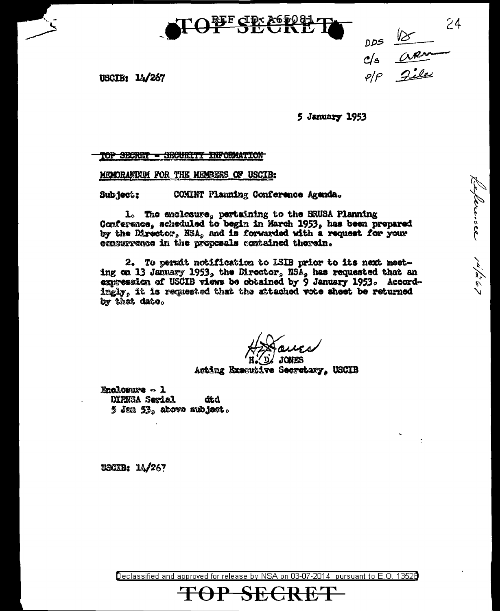

24 DDS 18

periode /4/267

USCIB: 14/267

5 January 1953

TOP SECRET - SECURITY INFORMATION

MCMORANDUM FOR THE MEMBERS OF USCIB:

COMINT Planning Conference Agenda. Subject:

1. The enclosure, pertaining to the BRUSA Planning Conference, scheduled to begin in March 1953, has been prepared by the Director, NSA, and is forwarded with a request for your concurrence in the proposals contained therein.

2. To permit notification to ISIB prior to its next meeting on 13 January 1953, the Director, NSA, has requested that an expression of USCIB views be obtained by 9 January 1953. Accordingly, it is requested that the attached vote sheet be returned by that date.

Acting Executive Secretary. USCIB

Enclosure  $\sim$  1 DIRNSA Sexial dtd  $5$  Jan  $53<sub>s</sub>$  above subject.

**USCIB: 14/267** 

Declassified and approved for release by NSA on 03-07-2014 pursuant to E.O. 13528

<del>SECRE</del>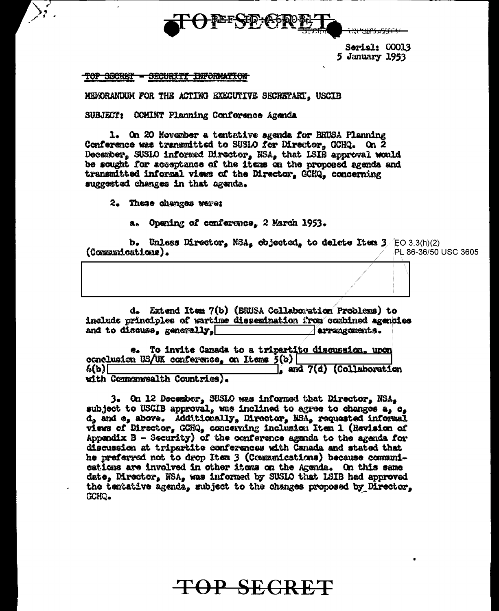

<del>91274761</del>

Serial: 00013 5 January 1953

## TOP SECRET - SECURITY INFORMATION

MERORANDUM FOR THE ACTING EXECUTIVE SECRETARY. USCIB

SUBJECT: COMINT Planning Conference Agenda

1. On 20 November a tentative agenda for BRUSA Planning Conference was transmitted to SUSIO for Director. GCHQ. On 2 December, SUSIO informed Director, NSA, that ISIB approval would be sought for acceptance of the items on the proposed agenda and transmitted informal views of the Director. GCHQ. concerning suggested changes in that agenda.

2. These changes were:

a. Opening of conference. 2 March 1953.

b. Unless Director, NSA, objected, to delete Item  $3/EC$  3.3(h)(2) (Communications). PL 86-36/50 USC 3605

d. Extend Item 7(b) (BRUSA Collaboration Problems) to include principles of wartime dissemination from combined agencies and to discuss, generally, arrangements.

To invite Canada to a tripartite discussion, upon **G.** conclusion US/UK conference. on Items 5(b) 6(ь)Г and 7(d) (Collaboration with Commonwealth Countries).

3. On 12 December, SUSLO was informed that Director, NSA, subject to USCIB approval, was inclined to agree to changes a, c. d, and e, above. Additionally, Director, NSA, requested informal views of Director, GCHQ, concerning inclusion Item 1 (Revision of Appendix  $B$  - Security) of the conference agenda to the agenda for discussion at tripartite conferences with Canada and stated that he preferred not to drop Item 3 (Communications) because communications are involved in other items on the Agenda. On this same date, Mrector, NSA, was informed by SUSIO that ISIB had approved the tentative agenda, subject to the changes proposed by Director, CCHQ.

TOP SECRET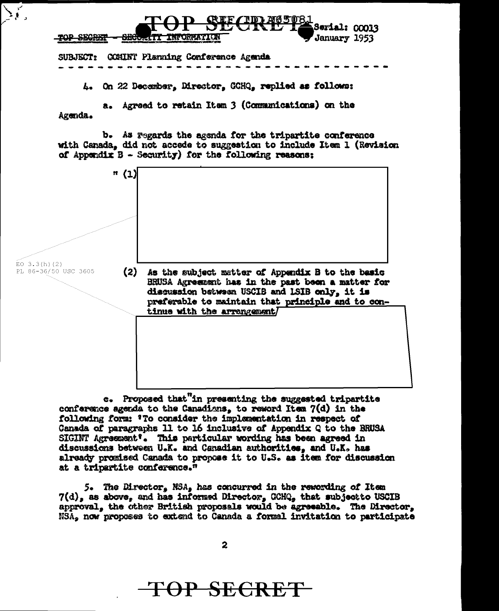

e. Proposed that"in presenting the suggested tripartite conference agenda to the Canadians, to reword Item  $7(d)$  in the following form: 'To consider the implementation in respect of Canada of paragraphs 11 to 16 inclusive of Appendix Q to the BRUSA SIGINT Agreement'. This particular wording has been agreed in discussions between U.K. and Canadian authorities, and U.K. has already promised Canada to propose it to U.S. as item for discussion at a tripartite conference."

tinue with the arrangement/

discussion between USCIB and LSIB only, it is preferable to maintain that principle and to con-

5. The Director, NSA, has concurred in the rewording of Item  $7(d)$ , as above, and has informed Director, GCHQ, that subject to USCIB approval, the other British proposals would be agreeable. The Director, NSA, now proposes to extend to Canada a formal invitation to participate

<del>TOP SECRE</del>